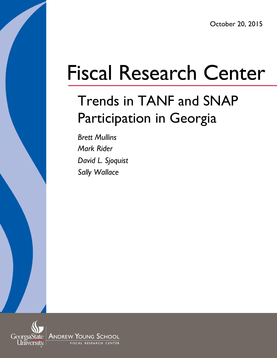# **Fiscal Research Center**

## Trends in TANF and SNAP Participation in Georgia

*Brett Mullins Mark Rider David L. Sjoquist Sally Wallace*

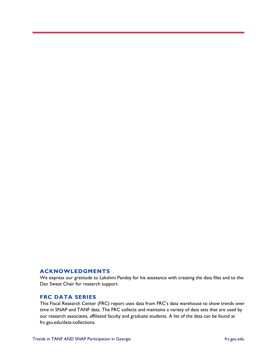#### **ACKNOWLEDGMENTS**

We express our gratitude to Lakshmi Pandey for his assistance with creating the data files and to the Dan Sweat Chair for research support.

#### **FRC DATA SERIES**

This Fiscal Research Center (FRC) report uses data from FRC's data warehouse to show trends over time in SNAP and TANF data. The FRC collects and maintains a variety of data sets that are used by our research associates, affiliated faculty and graduate students. A list of the data can be found at [frc.gsu.edu/data-collections.](file:///C:/Users/mreeves9/AppData/Local/Microsoft/Windows/Temporary%20Internet%20Files/Content.Outlook/SLCH3XSV/frc.gsu.edu/data-collections)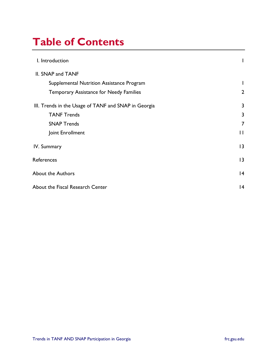### **Table of Contents**

| I. Introduction                                      |                |
|------------------------------------------------------|----------------|
| II. SNAP and TANF                                    |                |
| Supplemental Nutrition Assistance Program            |                |
| <b>Temporary Assistance for Needy Families</b>       | 2              |
| III. Trends in the Usage of TANF and SNAP in Georgia | 3              |
| <b>TANF Trends</b>                                   | 3              |
| <b>SNAP Trends</b>                                   | 7              |
| Joint Enrollment                                     | $\mathbf{H}$   |
| IV. Summary                                          | 3              |
| References                                           | $\overline{3}$ |
| <b>About the Authors</b>                             | 4              |
| About the Fiscal Research Center                     | 4              |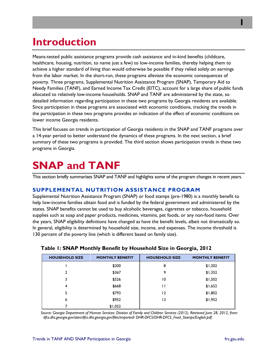### **Introduction**

Means-tested public assistance programs provide cash assistance and in-kind benefits (childcare, healthcare, housing, nutrition, to name just a few) to low-income families, thereby helping them to achieve a higher standard of living than would otherwise be possible if they relied solely on earnings from the labor market. In the short-run, these programs alleviate the economic consequences of poverty. Three programs, Supplemental Nutrition Assistance Program (SNAP), Temporary Aid to Needy Families (TANF), and Earned Income Tax Credit (EITC), account for a large share of public funds allocated to relatively low-income households. SNAP and TANF are administered by the state, so detailed information regarding participation in these two programs by Georgia residents are available. Since participation in these programs are associated with economic conditions, tracking the trends in the participation in these two programs provides an indication of the effect of economic conditions on lower income Georgia residents.

This brief focuses on trends in participation of Georgia residents in the SNAP and TANF programs over a 14-year period to better understand the dynamics of these programs. In the next section, a brief summary of these two programs is provided. The third section shows participation trends in these two programs in Georgia.

### **SNAP and TANF**

This section briefly summarizes SNAP and TANF and highlights some of the program changes in recent years.

#### **SUPPLEMENTAL NUTRITION ASSISTANCE PROGRAM**

Supplemental Nutrition Assistance Program (SNAP) or food stamps (pre-1980) is a monthly benefit to help low-income families obtain food and is funded by the federal government and administered by the states. SNAP benefits cannot be used to buy alcoholic beverages, cigarettes or tobacco, household supplies such as soap and paper products, medicines, vitamins, pet foods, or any non-food items. Over the years, SNAP eligibility definitions have changed as have the benefit levels, albeit not dramatically so. In general, eligibility is determined by household size, income, and expenses. The income threshold is 130 percent of the poverty line (which is different based on family size).

| <b>HOUSEHOLD SIZE</b> | <b>MONTHLY BENEFIT</b> | <b>HOUSEHOLD SIZE</b> | <b>MONTHLY BENEFIT</b> |
|-----------------------|------------------------|-----------------------|------------------------|
|                       | \$200                  | 8                     | \$1,202                |
|                       | \$367                  | 9                     | \$1,352                |
|                       | \$526                  | 10                    | \$1,502                |
| 4                     | \$668                  | Н                     | \$1,652                |
|                       | \$793                  | 12                    | \$1,802                |
| 6                     | \$952                  | 13                    | \$1,952                |
|                       | \$1,052                |                       |                        |

#### **Table 1: SNAP Monthly Benefit by Household Size in Georgia, 2012**

*Source: Georgia Department of Human Services: Division of Family and Children Services (2012). Retrieved June 28, 2012, from: [dfcs.dhs.georgia.gov/sites/dfcs.dhs.georgia.gov/files/imported/ DHR-DFCS/DHR-DFCS\\_Food\\_Stamps/English.pdf.](http://dfcs.dhs.georgia.gov/sites/dfcs.dhs.georgia.gov/files/imported/%20DHR-DFCS/DHR-DFCS_Food_Stamps/English.pdf)*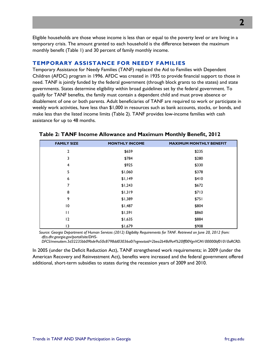**2**

Eligible households are those whose income is less than or equal to the poverty level or are living in a temporary crisis. The amount granted to each household is the difference between the maximum monthly benefit (Table 1) and 30 percent of family monthly income.

#### **TEMPORARY ASSISTANCE FOR NEEDY FAMILIES**

Temporary Assistance for Needy Families (TANF) replaced the Aid to Families with Dependent Children (AFDC) program in 1996. AFDC was created in 1935 to provide financial support to those in need. TANF is jointly funded by the federal government (through block grants to the states) and state governments. States determine eligibility within broad guidelines set by the federal government. To qualify for TANF benefits, the family must contain a dependent child and must prove absence or disablement of one or both parents. Adult beneficiaries of TANF are required to work or participate in weekly work activities, have less than \$1,000 in resources such as bank accounts, stocks, or bonds, and make less than the listed income limits (Table 2). TANF provides low-income families with cash assistance for up to 48 months.

| <b>FAMILY SIZE</b> | <b>MONTHLY INCOME</b> | <b>MAXIMUM MONTHLY BENEFIT</b> |
|--------------------|-----------------------|--------------------------------|
| $\overline{2}$     | \$659                 | \$235                          |
| 3                  | \$784                 | \$280                          |
| 4                  | \$925                 | \$330                          |
| 5                  | \$1,060               | \$378                          |
| 6                  | \$1,149               | \$410                          |
| 7                  | \$1,243               | \$672                          |
| 8                  | \$1,319               | \$713                          |
| 9                  | \$1,389               | \$751                          |
| 10                 | \$1,487               | \$804                          |
| $\mathbf{H}$       | \$1,591               | \$860                          |
| 12                 | \$1,635               | \$884                          |
| 13                 | \$1,679               | \$908                          |

#### **Table 2: TANF Income Allowance and Maximum Monthly Benefit, 2012**

*Source: Georgia Department of Human Services (2012) Eligibility Requirements for TANF. Retrieved on June 20, 2012 from: [dfcs.dhr.georgia.gov/portal/site/DHS-](http://dfcs.dhr.georgia.gov/portal/site/DHS-DFCS/menuitem.5d32235bb09bde9a50c8798dd03036a0/?vgnextoid=2bea2b48d9a4%20ff00VgnVCM100000bf01010aRCRD)*

*[DFCS/menuitem.5d32235bb09bde9a50c8798dd03036a0/?vgnextoid=2bea2b48d9a4%20ff00VgnVCM100000bf01010aRCRD.](http://dfcs.dhr.georgia.gov/portal/site/DHS-DFCS/menuitem.5d32235bb09bde9a50c8798dd03036a0/?vgnextoid=2bea2b48d9a4%20ff00VgnVCM100000bf01010aRCRD)*

In 2005 (under the Deficit Reduction Act), TANF strengthened work requirements; in 2009 (under the American Recovery and Reinvestment Act), benefits were increased and the federal government offered additional, short-term subsidies to states during the recession years of 2009 and 2010.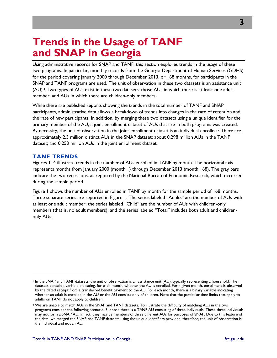### **Trends in the Usage of TANF and SNAP in Georgia**

Using administrative records for SNAP and TANF, this section explores trends in the usage of these two programs. In particular, monthly records from the Georgia Department of Human Services (GDHS) for the period covering January 2000 through December 2013, or 168 months, for participants in the SNAP and TANF programs are used. The unit of observation in these two datasets is an assistance unit (AU).<sup>1</sup> Two types of AUs exist in these two datasets: those AUs in which there is at least one adult member, and AUs in which there are children-only members.

While there are published reports showing the trends in the total number of TANF and SNAP participants, administrative data allows a breakdown of trends into changes in the rate of retention and the rate of new participants. In addition, by merging these two datasets using a unique identifier for the primary member of the AU, a joint enrollment dataset of AUs that are in both programs was created. By necessity, the unit of observation in the joint enrollment dataset is an individual enrollee.<sup>2</sup> There are approximately 2.3 million distinct AUs in the SNAP dataset; about 0.298 million AUs in the TANF dataset; and 0.253 million AUs in the joint enrollment dataset.

#### **TANF TRENDS**

Figures 1–4 illustrate trends in the number of AUs enrolled in TANF by month. The horizontal axis represents months from January 2000 (month 1) through December 2013 (month 168). The gray bars indicate the two recessions, as reported by the National Bureau of Economic Research, which occurred during the sample period.

Figure 1 shows the number of AUs enrolled in TANF by month for the sample period of 168 months. Three separate series are reported in Figure 1. The series labeled "Adults" are the number of AUs with at least one adult member; the series labeled "Child" are the number of AUs with children-only members (that is, no adult members); and the series labeled "Total" includes both adult and childrenonly AUs.

<sup>1</sup> In the SNAP and TANF datasets, the unit of observation is an assistance unit (AU), typically representing a household. The datasets contain a variable indicating, for each month, whether the AU is enrolled. For a given month, enrollment is observed by the dated receipt from a transferred benefit payment to the AU. For each month, there is a binary variable indicating whether an adult is enrolled in the AU or the AU consists only of children. Note that the particular time limits that apply to adults on TANF do not apply to children.

<sup>2</sup> We are unable to match AUs in the SNAP and TANF datasets. To illustrate the difficulty of matching AUs in the two programs consider the following scenario. Suppose there is a TANF AU consisting of three individuals. These three individuals may not form a SNAP AU. In fact, they may be members of three different AUs for purposes of SNAP. Due to this feature of the data, we merged the SNAP and TANF datasets using the unique identifiers provided; therefore, the unit of observation is the individual and not an AU.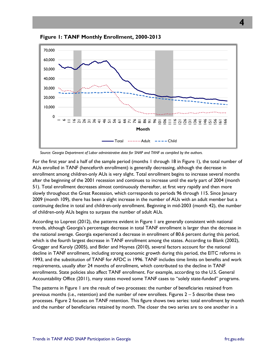

**Figure 1: TANF Monthly Enrollment, 2000-2013**

*Source: Georgia Department of Labor administrative data for SNAP and TANF as complied by the authors.*

For the first year and a half of the sample period (months 1 through 18 in Figure 1), the total number of AUs enrolled in TANF (henceforth enrollment) is generally decreasing, although the decrease in enrollment among children-only AUs is very slight. Total enrollment begins to increase several months after the beginning of the 2001 recession and continues to increase until the early part of 2004 (month 51). Total enrollment decreases almost continuously thereafter, at first very rapidly and then more slowly throughout the Great Recession, which corresponds to periods 96 through 115. Since January 2009 (month 109), there has been a slight increase in the number of AUs with an adult member but a continuing decline in total and children-only enrollment. Beginning in mid-2003 (month 42), the number of children-only AUs begins to surpass the number of adult AUs.

According to Loprest (2012), the patterns evident in Figure 1 are generally consistent with national trends, although Georgia's percentage decrease in total TANF enrollment is larger than the decrease in the national average. Georgia experienced a decrease in enrollment of 80.6 percent during this period, which is the fourth largest decrease in TANF enrollment among the states. According to Blank (2002), Grogger and Karoly (2005), and Bitler and Hoynes (2010), several factors account for the national decline in TANF enrollment, including strong economic growth during this period, the EITC reforms in 1993, and the substitution of TANF for AFDC in 1996. TANF includes time limits on benefits and work requirements, usually after 24 months of enrollment, which contributed to the decline in TANF enrollments. State policies also affect TANF enrollment. For example, according to the U.S. General Accountability Office (2011), many states moved some TANF cases to "solely state-funded" programs.

The patterns in Figure 1 are the result of two processes: the number of beneficiaries retained from previous months (i.e., retention) and the number of new enrollees. Figures  $2 - 5$  describe these two processes. Figure 2 focuses on TANF retention. This figure shows two series: total enrollment by month and the number of beneficiaries retained by month. The closer the two series are to one another in a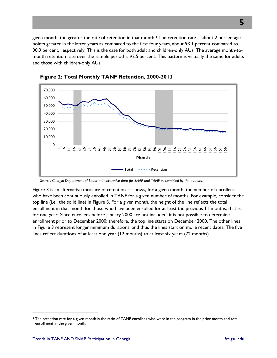given month, the greater the rate of retention in that month. $3$  The retention rate is about 2 percentage points greater in the latter years as compared to the first four years, about 93.1 percent compared to 90.9 percent, respectively. This is the case for both adult and children-only AUs. The average month-tomonth retention rate over the sample period is 92.5 percent. This pattern is virtually the same for adults and those with children-only AUs.



**Figure 2: Total Monthly TANF Retention, 2000-2013**

*Source: Georgia Department of Labor administrative data for SNAP and TANF as complied by the authors.*

Figure 3 is an alternative measure of retention. It shows, for a given month, the number of enrollees who have been continuously enrolled in TANF for a given number of months. For example, consider the top line (i.e., the solid line) in Figure 3. For a given month, the height of the line reflects the total enrollment in that month for those who have been enrolled for at least the previous 11 months, that is, for one year. Since enrollees before January 2000 are not included, it is not possible to determine enrollment prior to December 2000; therefore, the top line starts on December 2000. The other lines in Figure 3 represent longer minimum durations, and thus the lines start on more recent dates. The five lines reflect durations of at least one year (12 months) to at least six years (72 months).

 $\overline{a}$ 

<sup>&</sup>lt;sup>3</sup> The retention rate for a given month is the ratio of TANF enrollees who were in the program in the prior month and total enrollment in the given month.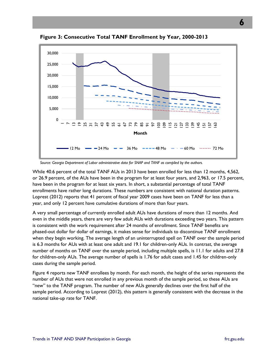

**Figure 3: Consecutive Total TANF Enrollment by Year, 2000-2013**

*Source: Georgia Department of Labor administrative data for SNAP and TANF as complied by the authors.*

While 40.6 percent of the total TANF AUs in 2013 have been enrolled for less than 12 months, 4,562, or 26.9 percent, of the AUs have been in the program for at least four years, and 2,963, or 17.5 percent, have been in the program for at least six years. In short, a substantial percentage of total TANF enrollments have rather long durations. These numbers are consistent with national duration patterns. Loprest (2012) reports that 41 percent of fiscal year 2009 cases have been on TANF for less than a year, and only 12 percent have cumulative durations of more than four years.

A very small percentage of currently enrolled adult AUs have durations of more than 12 months. And even in the middle years, there are very few adult AUs with durations exceeding two years. This pattern is consistent with the work requirement after 24 months of enrollment. Since TANF benefits are phased-out dollar for dollar of earnings, it makes sense for individuals to discontinue TANF enrollment when they begin working. The average length of an uninterrupted spell on TANF over the sample period is 6.3 months for AUs with at least one adult and 19.1 for children-only AUs. In contrast, the average number of months on TANF over the sample period, including multiple spells, is 11.1 for adults and 27.8 for children-only AUs. The average number of spells is 1.76 for adult cases and 1.45 for children-only cases during the sample period.

Figure 4 reports new TANF enrollees by month. For each month, the height of the series represents the number of AUs that were not enrolled in any previous month of the sample period, so these AUs are "new" to the TANF program. The number of new AUs generally declines over the first half of the sample period. According to Loprest (2012), this pattern is generally consistent with the decrease in the national take-up rate for TANF.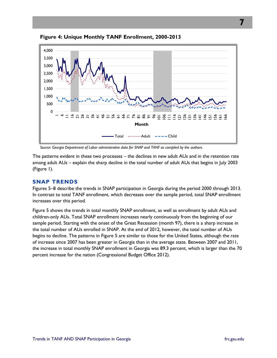

**Figure 4: Unique Monthly TANF Enrollment, 2000-2013**

*Source: Georgia Department of Labor administrative data for SNAP and TANF as complied by the authors.*

The patterns evident in these two processes – the declines in new adult AUs and in the retention rate among adult AUs – explain the sharp decline in the total number of adult AUs that begins in July 2003 (Figure 1).

#### **SNAP TRENDS**

Figures 5–8 describe the trends in SNAP participation in Georgia during the period 2000 through 2013. In contrast to total TANF enrollment, which decreases over the sample period, total SNAP enrollment increases over this period.

Figure 5 shows the trends in total monthly SNAP enrollment, as well as enrollment by adult AUs and children-only AUs. Total SNAP enrollment increases nearly continuously from the beginning of our sample period. Starting with the onset of the Great Recession (month 97), there is a sharp increase in the total number of AUs enrolled in SNAP. At the end of 2012, however, the total number of AUs begins to decline. The patterns in Figure 5 are similar to those for the United States, although the rate of increase since 2007 has been greater in Georgia than in the average state. Between 2007 and 2011, the increase in total monthly SNAP enrollment in Georgia was 89.3 percent, which is larger than the 70 percent increase for the nation (Congressional Budget Office 2012).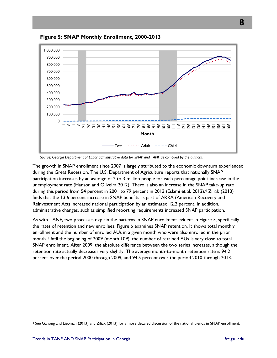

**Figure 5: SNAP Monthly Enrollment, 2000-2013**

*Source: Georgia Department of Labor administrative data for SNAP and TANF as complied by the authors.*

The growth in SNAP enrollment since 2007 is largely attributed to the economic downturn experienced during the Great Recession. The U.S. Department of Agriculture reports that nationally SNAP participation increases by an average of 2 to 3 million people for each percentage point increase in the unemployment rate (Hanson and Oliveira 2012). There is also an increase in the SNAP take-up rate during this period from 54 percent in 2001 to 79 percent in 2013 (Eslami et al. 2012).<sup>4</sup> Ziliak (2013) finds that the 13.6 percent increase in SNAP benefits as part of ARRA (American Recovery and Reinvestment Act) increased national participation by an estimated 12.2 percent. In addition, administrative changes, such as simplified reporting requirements increased SNAP participation.

As with TANF, two processes explain the patterns in SNAP enrollment evident in Figure 5, specifically the rates of retention and new enrollees. Figure 6 examines SNAP retention. It shows total monthly enrollment and the number of enrolled AUs in a given month who were also enrolled in the prior month. Until the beginning of 2009 (month 109), the number of retained AUs is very close to total SNAP enrollment. After 2009, the absolute difference between the two series increases, although the retention rate actually decreases very slightly. The average month-to-month retention rate is 94.2 percent over the period 2000 through 2009, and 94.5 percent over the period 2010 through 2013.

<sup>4</sup> See Ganong and Liebman (2013) and Ziliak (2013) for a more detailed discussion of the national trends in SNAP enrollment.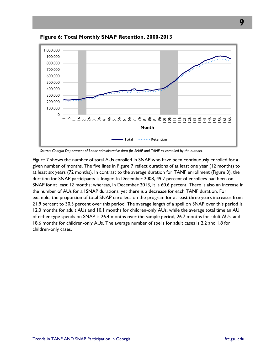

**Figure 6: Total Monthly SNAP Retention, 2000-2013**

*Source: Georgia Department of Labor administrative data for SNAP and TANF as complied by the authors.*

Figure 7 shows the number of total AUs enrolled in SNAP who have been continuously enrolled for a given number of months. The five lines in Figure 7 reflect durations of at least one year (12 months) to at least six years (72 months). In contrast to the average duration for TANF enrollment (Figure 3), the duration for SNAP participants is longer. In December 2008, 49.2 percent of enrollees had been on SNAP for at least 12 months; whereas, in December 2013, it is 60.6 percent. There is also an increase in the number of AUs for all SNAP durations, yet there is a decrease for each TANF duration. For example, the proportion of total SNAP enrollees on the program for at least three years increases from 21.9 percent to 30.3 percent over this period. The average length of a spell on SNAP over this period is 12.0 months for adult AUs and 10.1 months for children-only AUs, while the average total time an AU of either type spends on SNAP is 26.4 months over the sample period, 26.7 months for adult AUs, and 18.6 months for children-only AUs. The average number of spells for adult cases is 2.2 and 1.8 for children-only cases.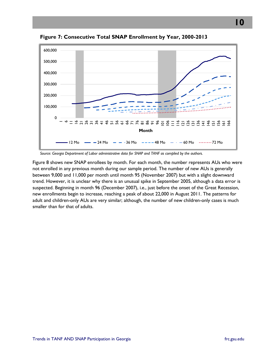

**Figure 7: Consecutive Total SNAP Enrollment by Year, 2000-2013**

*Source: Georgia Department of Labor administrative data for SNAP and TANF as complied by the authors.*

Figure 8 shows new SNAP enrollees by month. For each month, the number represents AUs who were not enrolled in any previous month during our sample period. The number of new AUs is generally between 9,000 and 11,000 per month until month 95 (November 2007) but with a slight downward trend. However, it is unclear why there is an unusual spike in September 2005, although a data error is suspected. Beginning in month 96 (December 2007), i.e., just before the onset of the Great Recession, new enrollments begin to increase, reaching a peak of about 22,000 in August 2011. The patterns for adult and children-only AUs are very similar; although, the number of new children-only cases is much smaller than for that of adults.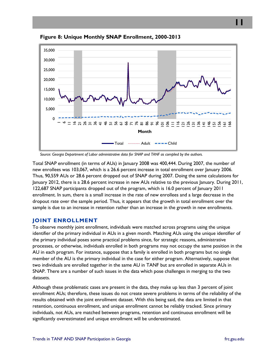

**Figure 8: Unique Monthly SNAP Enrollment, 2000-2013**

*Source: Georgia Department of Labor administrative data for SNAP and TANF as complied by the authors.*

Total SNAP enrollment (in terms of AUs) in January 2008 was 400,444. During 2007, the number of new enrollees was 103,067, which is a 26.6 percent increase in total enrollment over January 2006. Thus, 90,559 AUs or 28.6 percent dropped out of SNAP during 2007. Doing the same calculations for January 2012, there is a 28.6 percent increase in new AUs relative to the previous January. During 2011, 122,687 SNAP participants dropped out of the program, which is 16.0 percent of January 2011 enrollment. In sum, there is a small increase in the rate of new enrollees and a large decrease in the dropout rate over the sample period. Thus, it appears that the growth in total enrollment over the sample is due to an increase in retention rather than an increase in the growth in new enrollments.

#### **JOINT ENROLLMENT**

To observe monthly joint enrollment, individuals were matched across programs using the unique identifier of the primary individual in AUs in a given month. Matching AUs using the unique identifier of the primary individual poses some practical problems since, for strategic reasons, administrative processes, or otherwise, individuals enrolled in both programs may not occupy the same position in the AU in each program. For instance, suppose that a family is enrolled in both programs but no single member of the AU is the primary individual in the case for either program. Alternatively, suppose that two individuals are enrolled together in the same AU in TANF but are enrolled in separate AUs in SNAP. There are a number of such issues in the data which pose challenges in merging to the two datasets.

Although these problematic cases are present in the data, they make up less than 3 percent of joint enrollment AUs; therefore, these issues do not create severe problems in terms of the reliability of the results obtained with the joint enrollment dataset. With this being said, the data are limited in that retention, continuous enrollment, and unique enrollment cannot be reliably tracked. Since primary individuals, not AUs, are matched between programs, retention and continuous enrollment will be significantly overestimated and unique enrollment will be underestimated.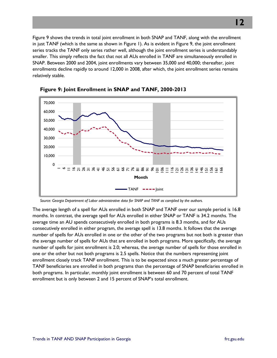Figure 9 shows the trends in total joint enrollment in both SNAP and TANF, along with the enrollment in just TANF (which is the same as shown in Figure 1). As is evident in Figure 9, the joint enrollment series tracks the TANF only series rather well, although the joint enrollment series is understandably smaller. This simply reflects the fact that not all AUs enrolled in TANF are simultaneously enrolled in SNAP. Between 2000 and 2004, joint enrollments vary between 35,000 and 40,000; thereafter, joint enrollments decline rapidly to around 12,000 in 2008, after which, the joint enrollment series remains relatively stable.



**Figure 9: Joint Enrollment in SNAP and TANF, 2000-2013**

*Source: Georgia Department of Labor administrative data for SNAP and TANF as complied by the authors.*

The average length of a spell for AUs enrolled in both SNAP and TANF over our sample period is 16.8 months. In contrast, the average spell for AUs enrolled in either SNAP or TANF is 34.2 months. The average time an AU spends consecutively enrolled in both programs is 8.3 months, and for AUs consecutively enrolled in either program, the average spell is 13.8 months. It follows that the average number of spells for AUs enrolled in one or the other of the two programs but not both is greater than the average number of spells for AUs that are enrolled in both programs. More specifically, the average number of spells for joint enrollment is 2.0; whereas, the average number of spells for those enrolled in one or the other but not both programs is 2.5 spells. Notice that the numbers representing joint enrollment closely track TANF enrollment. This is to be expected since a much greater percentage of TANF beneficiaries are enrolled in both programs than the percentage of SNAP beneficiaries enrolled in both programs. In particular, monthly joint enrollment is between 60 and 70 percent of total TANF enrollment but is only between 2 and 15 percent of SNAP's total enrollment.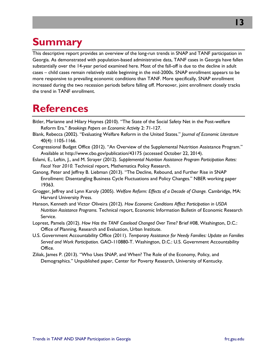### **Summary**

This descriptive report provides an overview of the long-run trends in SNAP and TANF participation in Georgia. As demonstrated with population-based administrative data, TANF cases in Georgia have fallen substantially over the 14-year period examined here. Most of the fall-off is due to the decline in adult cases – child cases remain relatively stable beginning in the mid-2000s. SNAP enrollment appears to be more responsive to prevailing economic conditions than TANF. More specifically, SNAP enrollment increased during the two recession periods before falling off. Moreover, joint enrollment closely tracks the trend in TANF enrollment.

### **References**

- Bitler, Marianne and Hilary Hoynes (2010). "The State of the Social Safety Net in the Post-welfare Reform Era." *Brookings Papers on Economic Activity* 2: 71-127.
- Blank, Rebecca (2002). "Evaluating Welfare Reform in the United States." *Journal of Economic Literature* 40(4): 1105-1166.
- Congressional Budget Office (2012). "An Overview of the Supplemental Nutrition Assistance Program." Available at<http://www.cbo.gov/publication/43175> (accessed October 22, 2014).
- Eslami, E., Leftin, J., and M. Strayer (2012). *Supplemental Nutrition Assistance Program Participation Rates: Fiscal Year 2010.* Technical report, Mathematica Policy Research.
- Ganong, Peter and Jeffrey B. Liebman (2013). "The Decline, Rebound, and Further Rise in SNAP Enrollment: Disentangling Business Cycle Fluctuations and Policy Changes." NBER working paper 19363.
- Grogger, Jeffrey and Lynn Karoly (2005). *Welfare Reform: Effects of a Decade of Change.* Cambridge, MA: Harvard University Press.
- Hanson, Kenneth and Victor Oliveira (2012). *How Economic Conditions Affect Participation in USDA Nutrition Assistance Programs.* Technical report, Economic Information Bulletin of Economic Research Service.
- Loprest, Pamela (2012). *How Has the TANF Caseload Changed Over Time?* Brief #08, Washington, D.C.: Office of Planning, Research and Evaluation, Urban Institute.
- U.S. Government Accountability Office (2011). *Temporary Assistance for Needy Families: Update on Families Served and Work Participation.* GAO-110880-T. Washington, D.C.: U.S. Government Accountability Office.
- Ziliak, James P. (2013). "Who Uses SNAP, and When? The Role of the Economy, Policy, and Demographics." Unpublished paper, Center for Poverty Research, University of Kentucky.